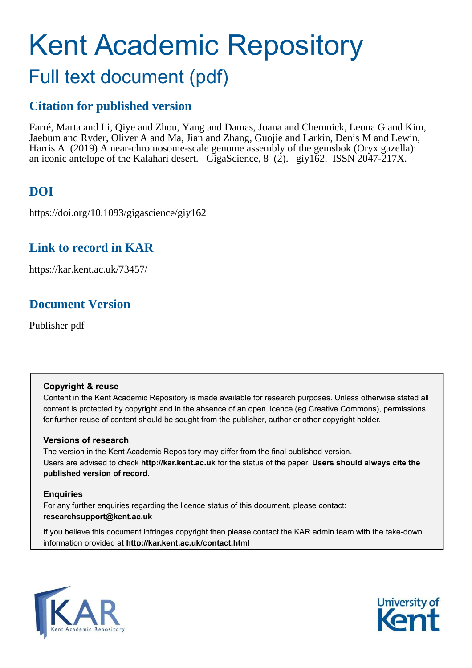# Kent Academic Repository Full text document (pdf)

# **Citation for published version**

Farré, Marta and Li, Qiye and Zhou, Yang and Damas, Joana and Chemnick, Leona G and Kim, Jaebum and Ryder, Oliver A and Ma, Jian and Zhang, Guojie and Larkin, Denis M and Lewin, Harris A (2019) A near-chromosome-scale genome assembly of the gemsbok (Oryx gazella): an iconic antelope of the Kalahari desert. GigaScience, 8 (2). giy162. ISSN 2047-217X.

# **DOI**

https://doi.org/10.1093/gigascience/giy162

# **Link to record in KAR**

<span id="page-0-0"></span>https://kar.kent.ac.uk/73457/

# <span id="page-0-5"></span>**Document Version**

<span id="page-0-6"></span>Publisher pdf

# <span id="page-0-9"></span><span id="page-0-8"></span><span id="page-0-1"></span>**Copyright & reuse**

<span id="page-0-2"></span>Content in the Kent Academic Repository is made available for research purposes. Unless otherwise stated all content is protected by copyright and in the absence of an open licence (eg Creative Commons), permissions for further reuse of content should be sought from the publisher, author or other copyright holder.

# **Versions of research**

The version in the Kent Academic Repository may differ from the final published version. Users are advised to check **http://kar.kent.ac.uk** for the status of the paper. **Users should always cite the published version of record.**

# **Enquiries**

For any further enquiries regarding the licence status of this document, please contact: **researchsupport@kent.ac.uk**

If you believe this document infringes copyright then please contact the KAR admin team with the take-down information provided at **http://kar.kent.ac.uk/contact.html**



<span id="page-0-7"></span><span id="page-0-4"></span><span id="page-0-3"></span>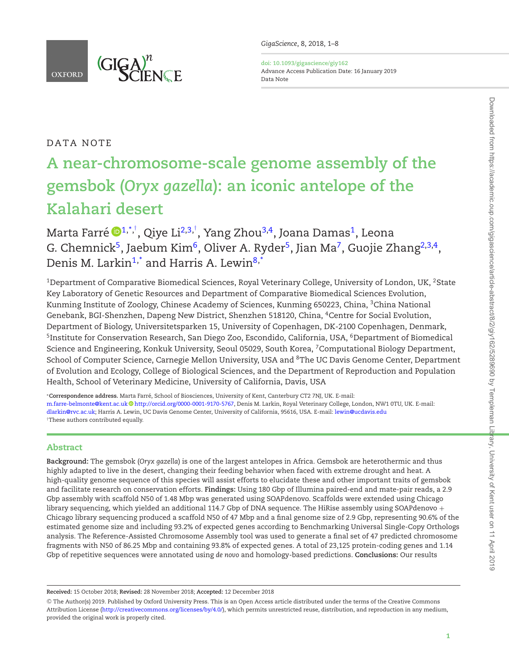

**doi: 10.1093/gigascience/giy162** Advance Access Publication Date: 16 January 2019 Data Note

# DATA NOTE

# **A near-chromosome-scale genome assembly of the gemsbok (***Oryx gazella***): an iconic antelope of the Kalahari desert**

Marta Farre´ [1](#page-0-0)[,\\*,](#page-0-1) [†](#page-0-2) , Qiye Li[2,](#page-0-3)[3,](#page-0-4) [†](#page-0-2) , Yang Zhou[3,](#page-0-4)[4](#page-0-5) , Joana Damas[1](#page-0-0) , Leona G. Chemnick<sup>[5](#page-0-6)</sup>, Jaebum Kim<sup>[6](#page-0-7)</sup>, Oliver A. Ryder<sup>5</sup>, Jian Ma<sup>[7](#page-0-8)</sup>, Guojie Zhang<sup>[2,](#page-0-3)[3,](#page-0-4)[4](#page-0-5)</sup>, Denis M. Larkin<sup>[1](#page-0-0)[,\\*](#page-0-1)</sup> and Harris A. Lewin<sup>[8,](#page-0-9)[\\*](#page-0-1)</sup>

<sup>1</sup>Department of Comparative Biomedical Sciences, Royal Veterinary College, University of London, UK, <sup>2</sup>State Key Laboratory of Genetic Resources and Department of Comparative Biomedical Sciences Evolution, Kunming Institute of Zoology, Chinese Academy of Sciences, Kunming 650223, China, <sup>3</sup>China National Genebank, BGI-Shenzhen, Dapeng New District, Shenzhen 518120, China, <sup>4</sup>Centre for Social Evolution, Department of Biology, Universitetsparken 15, University of Copenhagen, DK-2100 Copenhagen, Denmark, <sup>5</sup>Institute for Conservation Research, San Diego Zoo, Escondido, California, USA, <sup>6</sup>Department of Biomedical Science and Engineering, Konkuk University, Seoul 05029, South Korea, <sup>7</sup>Computational Biology Department, School of Computer Science, Carnegie Mellon University, USA and <sup>8</sup>The UC Davis Genome Center, Department of Evolution and Ecology, College of Biological Sciences, and the Department of Reproduction and Population Health, School of Veterinary Medicine, University of California, Davis, USA

<sup>∗</sup>**Correspondence address.** Marta Farre, School of Biosciences, University of Kent, Canterbury CT2 7NJ, UK. E-mail: ´ [m.farre-belmonte@kent.ac.uk](mailto:mfbelmonte@rvc.ac.uk) [http://orcid.org/0000-0001-9170-5767,](http://orcid.org/0000-0001-9170-5767) Denis M. Larkin, Royal Veterinary College, London, NW1 0TU, UK. E-mail: [dlarkin@rvc.ac.uk;](mailto:dlarkin@rvc.ac.uk) Harris A. Lewin, UC Davis Genome Center, University of California, 95616, USA. E-mail: [lewin@ucdavis.edu](mailto:lewin@ucdavis.edu) †These authors contributed equally.

### Abstract

**Background:** The gemsbok (*Oryx gazella*) is one of the largest antelopes in Africa. Gemsbok are heterothermic and thus highly adapted to live in the desert, changing their feeding behavior when faced with extreme drought and heat. A high-quality genome sequence of this species will assist efforts to elucidate these and other important traits of gemsbok and facilitate research on conservation efforts. **Findings:** Using 180 Gbp of Illumina paired-end and mate-pair reads, a 2.9 Gbp assembly with scaffold N50 of 1.48 Mbp was generated using SOAPdenovo. Scaffolds were extended using Chicago library sequencing, which yielded an additional 114.7 Gbp of DNA sequence. The HiRise assembly using SOAPdenovo + Chicago library sequencing produced a scaffold N50 of 47 Mbp and a final genome size of 2.9 Gbp, representing 90.6% of the estimated genome size and including 93.2% of expected genes according to Benchmarking Universal Single-Copy Orthologs analysis. The Reference-Assisted Chromosome Assembly tool was used to generate a final set of 47 predicted chromosome fragments with N50 of 86.25 Mbp and containing 93.8% of expected genes. A total of 23,125 protein-coding genes and 1.14 Gbp of repetitive sequences were annotated using *de novo* and homology-based predictions. **Conclusions:** Our results

**Received:** 15 October 2018; **Revised:** 28 November 2018; **Accepted:** 12 December 2018

<sup>C</sup> The Author(s) 2019. Published by Oxford University Press. This is an Open Access article distributed under the terms of the Creative Commons Attribution License [\(http://creativecommons.org/licenses/by/4.0/\)](http://creativecommons.org/licenses/by/4.0/), which permits unrestricted reuse, distribution, and reproduction in any medium, provided the original work is properly cited.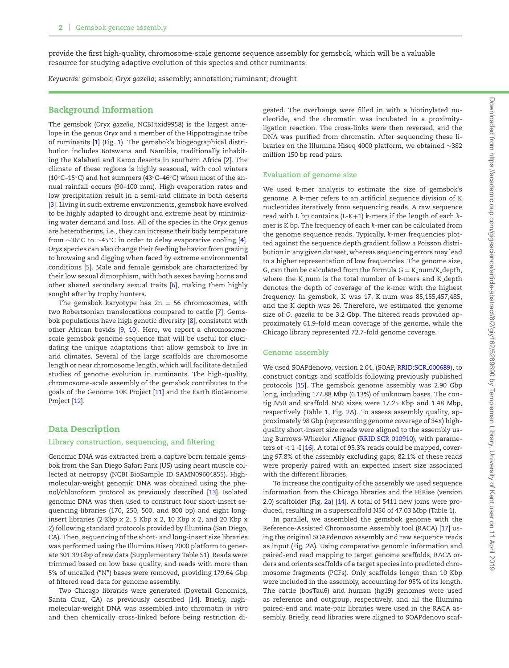<span id="page-2-0"></span>provide the irst high-quality, chromosome-scale genome sequence assembly for gemsbok, which will be a valuable resource for studying adaptive evolution of this species and other ruminants.

*Keywords:* gemsbok; *Oryx gazella*; assembly; annotation; ruminant; drought

### Background Information

The gemsbok (*Oryx gazella,* NCBI:txid9958) is the largest antelope in the genus *Oryx* and a member of the Hippotraginae tribe of ruminants [\[1\]](#page-6-0) (Fig. [1\)](#page-2-0). The gemsbok's biogeographical distribution includes Botswana and Namibia, traditionally inhabiting the Kalahari and Karoo deserts in southern Africa [\[2\]](#page-6-1). The climate of these regions is highly seasonal, with cool winters (10◦C–15◦C) and hot summers (43◦C–46◦C) when most of the annual rainfall occurs (90–100 mm). High evaporation rates and low precipitation result in a semi-arid climate in both deserts [\[3\]](#page-6-2). Living in such extreme environments, gemsbok have evolved to be highly adapted to drought and extreme heat by minimizing water demand and loss*.* All of the species in the *Oryx* genus are heterotherms, i.e., they can increase their body temperature from ∼36◦C to ∼45◦C in order to delay evaporative cooling [\[4\]](#page-6-3). *Oryx* species can also change their feeding behavior from grazing to browsing and digging when faced by extreme environmental conditions [\[5\]](#page-6-4). Male and female gemsbok are characterized by their low sexual dimorphism, with both sexes having horns and other shared secondary sexual traits [\[6\]](#page-6-5), making them highly sought after by trophy hunters.

<span id="page-2-1"></span>The gemsbok karyotype has  $2n = 56$  chromosomes, with two Robertsonian translocations compared to cattle [\[7\]](#page-6-6). Gemsbok populations have high genetic diversity [\[8\]](#page-6-7), consistent with other African bovids [\[9,](#page-6-8) [10\]](#page-6-9). Here, we report a chromosomescale gemsbok genome sequence that will be useful for elucidating the unique adaptations that allow gemsbok to live in arid climates. Several of the large scaffolds are chromosome length or near chromosome length, which will facilitate detailed studies of genome evolution in ruminants. The high-quality, chromosome-scale assembly of the gemsbok contributes to the goals of the Genome 10K Project [\[11\]](#page-6-10) and the Earth BioGenome Project [\[12\]](#page-6-11).

#### <span id="page-2-2"></span>Data Description

#### **Library construction, sequencing, and iltering**

Genomic DNA was extracted from a captive born female gemsbok from the San Diego Safari Park (US) using heart muscle collected at necropsy (NCBI BioSample ID SAMN09604855). Highmolecular-weight genomic DNA was obtained using the phenol/chloroform protocol as previously described [\[13\]](#page-6-12). Isolated genomic DNA was then used to construct four short-insert sequencing libraries (170, 250, 500, and 800 bp) and eight longinsert libraries (2 Kbp x 2, 5 Kbp x 2, 10 Kbp x 2, and 20 Kbp x 2) following standard protocols provided by Illumina (San Diego, CA). Then, sequencing of the short- and long-insert size libraries was performed using the Illumina Hiseq 2000 platform to generate 301.39 Gbp of raw data (Supplementary Table S1). Reads were trimmed based on low base quality, and reads with more than 5% of uncalled ("N") bases were removed, providing 179.64 Gbp of filtered read data for genome assembly.

Two Chicago libraries were generated (Dovetail Genomics, Santa Cruz, CA) as previously described [\[14\]](#page-6-13). Briefly, highmolecular-weight DNA was assembled into chromatin *in vitro* and then chemically cross-linked before being restriction digested. The overhangs were filled in with a biotinylated nucleotide, and the chromatin was incubated in a proximityligation reaction. The cross-links were then reversed, and the DNA was purified from chromatin. After sequencing these libraries on the Illumina Hiseq 4000 platform, we obtained ∼382 million 150 bp read pairs.

#### **Evaluation of genome size**

We used *k*-mer analysis to estimate the size of gemsbok's genome. A *k*-mer refers to an artiicial sequence division of K nucleotides iteratively from sequencing reads. A raw sequence read with L bp contains (L-K+1) *k*-mers if the length of each *k*mer is K bp. The frequency of each *k*-mer can be calculated from the genome sequence reads. Typically, *k*-mer frequencies plotted against the sequence depth gradient follow a Poisson distribution in any given dataset, whereas sequencing errors may lead to a higher representation of low frequencies. The genome size, G, can then be calculated from the formula  $G = K$ -num/K-depth, where the K\_num is the total number of *k*-mers and K\_depth denotes the depth of coverage of the *k*-mer with the highest frequency. In gemsbok, K was 17, K num was 85,155,457,485, and the K depth was 26. Therefore, we estimated the genome size of *O. gazella* to be 3.2 Gbp. The filtered reads provided approximately 61.9-fold mean coverage of the genome, while the Chicago library represented 72.7-fold genome coverage.

#### **Genome assembly**

We used SOAPdenovo, version 2.04, (SOAP, [RRID:SCR](https://scicrunch.org/resolver/RRID:SCR_000689) 000689), to construct contigs and scaffolds following previously published protocols [\[15\]](#page-6-14). The gemsbok genome assembly was 2.90 Gbp long, including 177.88 Mbp (6.13%) of unknown bases. The contig N50 and scaffold N50 sizes were 17.25 Kbp and 1.48 Mbp, respectively (Table [1,](#page-2-1) Fig. [2A](#page-2-2)). To assess assembly quality, approximately 98 Gbp (representing genome coverage of 34x) highquality short-insert size reads were aligned to the assembly using Burrows-Wheeler Aligner [\(RRID:SCR](https://scicrunch.org/resolver/RRID:SCR_010910) 010910), with parameters of -t 1 -I [\[16\]](#page-6-15). A total of 95.3% reads could be mapped, covering 97.8% of the assembly excluding gaps; 82.1% of these reads were properly paired with an expected insert size associated with the different libraries.

To increase the contiguity of the assembly we used sequence information from the Chicago libraries and the HiRise (version 2.0) scaffolder (Fig. [2a](#page-2-2)) [\[14\]](#page-6-13). A total of 5411 new joins were produced, resulting in a superscaffold N50 of 47.03 Mbp (Table [1\)](#page-2-1).

In parallel, we assembled the gemsbok genome with the Reference-Assisted Chromosome Assembly tool (RACA) [\[17\]](#page-6-16) using the original SOAPdenovo assembly and raw sequence reads as input (Fig. [2A](#page-2-2)). Using comparative genomic information and paired-end read mapping to target genome scaffolds, RACA orders and orients scaffolds of a target species into predicted chromosome fragments (PCFs). Only scaffolds longer than 10 Kbp were included in the assembly, accounting for 95% of its length. The cattle (bosTau6) and human (hg19) genomes were used as reference and outgroup, respectively, and all the Illumina paired-end and mate-pair libraries were used in the RACA assembly. Briefly, read libraries were aligned to SOAPdenovo scaf-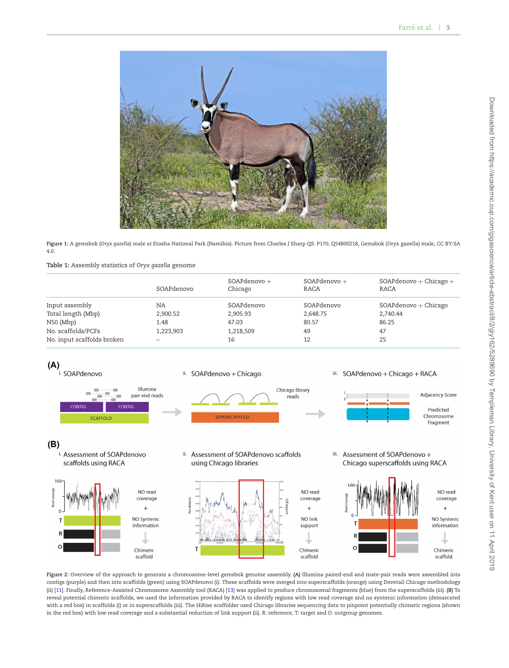<span id="page-3-0"></span>

**Figure 1:** A gemsbok (*Oryx gazella*) male at Etosha National Park (Namibia). Picture from Charles J Sharp QS: P170, Q54800218, Gemsbok (Oryx gazella) male, CC BY-SA 4.0.

**Table 1:** Assembly statistics of *Oryx gazella* genome

|                            | SOAPdenovo | SOAPdenovo +<br>Chicago | $SOAP$ denovo $+$<br>RACA | $SOAP$ denovo + Chicago +<br>RACA |
|----------------------------|------------|-------------------------|---------------------------|-----------------------------------|
|                            |            |                         |                           |                                   |
| Input assembly             | NA         | SOAPdenovo              | SOAPdenovo                | $SOAP$ denovo $+$ Chicago         |
| Total length (Mbp)         | 2,900.52   | 2,905.93                | 2,648.75                  | 2,740.44                          |
| $N50$ (Mbp)                | 1.48       | 47.03                   | 80.57                     | 86.25                             |
| No. scaffolds/PCFs         | 1,223,903  | 1,218,509               | 49                        | 47                                |
| No. input scaffolds broken |            | 16                      | 12                        | 25                                |



**Figure 2:** Overview of the approach to generate a chromosome-level gemsbok genome assembly. **(A)** Illumina paired-end and mate-pair reads were assembled into contigs (purple) and then into scaffolds (green) using SOAPdenovo (i). These scaffolds were merged into superscaffolds (orange) using Dovetail Chicago methodology (ii) [\[11\]](#page-6-10). Finally, Reference-Assisted Chromosome Assembly tool (RACA) [\[13\]](#page-6-12) was applied to produce chromosomal fragments (blue) from the superscaffolds (iii). **(B)** To reveal potential chimeric scaffolds, we used the information provided by RACA to identify regions with low read coverage and no syntenic information (demarcated with a red box) in scaffolds (i) or in superscaffolds (iii). The HiRise scaffolder used Chicago libraries sequencing data to pinpoint potentially chimeric regions (shown in the red box) with low read coverage and a substantial reduction of link support (ii). R: reference, T: target and O: outgroup genomes.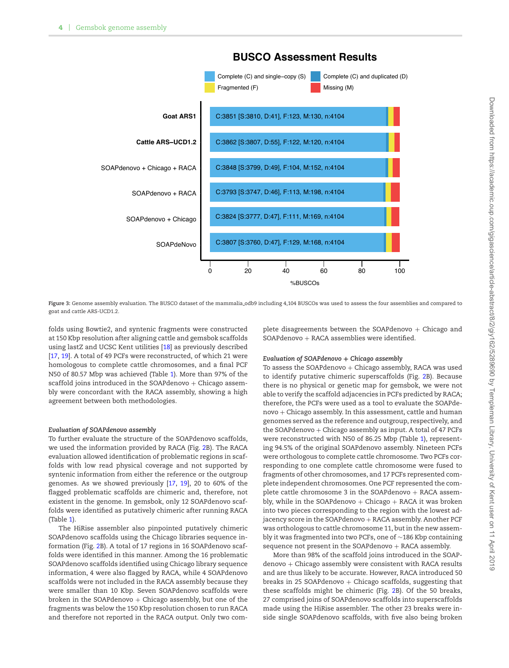<span id="page-4-0"></span>

### **BUSCO Assessment Results**

**Figure 3:** Genome assembly evaluation. The BUSCO dataset of the mammalia odb9 including 4,104 BUSCOs was used to assess the four assemblies and compared to goat and cattle ARS-UCD1.2.

folds using Bowtie2, and syntenic fragments were constructed at 150 Kbp resolution after aligning cattle and gemsbok scaffolds using lastZ and UCSC Kent utilities [\[18\]](#page-6-17) as previously described [\[17,](#page-6-16) [19\]](#page-6-18). A total of 49 PCFs were reconstructed, of which 21 were homologous to complete cattle chromosomes, and a final PCF N50 of 80.57 Mbp was achieved (Table [1\)](#page-2-1). More than 97% of the scaffold joins introduced in the SOAPdenovo  $+$  Chicago assembly were concordant with the RACA assembly, showing a high agreement between both methodologies.

#### *Evaluation of SOAPdenovo assembly*

To further evaluate the structure of the SOAPdenovo scaffolds, we used the information provided by RACA (Fig. [2B](#page-2-2)). The RACA evaluation allowed identification of problematic regions in scaffolds with low read physical coverage and not supported by syntenic information from either the reference or the outgroup genomes. As we showed previously [\[17,](#page-6-16) [19\]](#page-6-18), 20 to 60% of the lagged problematic scaffolds are chimeric and, therefore, not existent in the genome. In gemsbok, only 12 SOAPdenovo scaffolds were identified as putatively chimeric after running RACA (Table [1\)](#page-2-1).

The HiRise assembler also pinpointed putatively chimeric SOAPdenovo scaffolds using the Chicago libraries sequence information (Fig. [2B](#page-2-2)). A total of 17 regions in 16 SOAPdenovo scaffolds were identified in this manner. Among the 16 problematic SOAPdenovo scaffolds identified using Chicago library sequence information, 4 were also flagged by RACA, while 4 SOAPdenovo scaffolds were not included in the RACA assembly because they were smaller than 10 Kbp. Seven SOAPdenovo scaffolds were broken in the SOAPdenovo  $+$  Chicago assembly, but one of the fragments was below the 150 Kbp resolution chosen to run RACA and therefore not reported in the RACA output. Only two complete disagreements between the SOAPdenovo  $+$  Chicago and  $SOAP$ denovo + RACA assemblies were identified.

#### *Evaluation of SOAPdenovo* + *Chicago assembly*

To assess the SOAP denovo  $+$  Chicago assembly, RACA was used to identify putative chimeric superscaffolds (Fig. [2B](#page-2-2)). Because there is no physical or genetic map for gemsbok, we were not able to verify the scaffold adjacencies in PCFs predicted by RACA; therefore, the PCFs were used as a tool to evaluate the SOAPdenovo + Chicago assembly. In this assessment, cattle and human genomes served as the reference and outgroup, respectively, and the SOAPdenovo  $+$  Chicago assembly as input. A total of 47 PCFs were reconstructed with N50 of 86.25 Mbp (Table [1\)](#page-2-1), representing 94.5% of the original SOAPdenovo assembly. Nineteen PCFs were orthologous to complete cattle chromosome. Two PCFs corresponding to one complete cattle chromosome were fused to fragments of other chromosomes, and 17 PCFs represented complete independent chromosomes. One PCF represented the complete cattle chromosome 3 in the SOAPdenovo  $+$  RACA assembly, while in the SOAPdenovo  $+$  Chicago  $+$  RACA it was broken into two pieces corresponding to the region with the lowest adjacency score in the SOAPdenovo + RACA assembly. Another PCF was orthologous to cattle chromosome 11, but in the new assembly it was fragmented into two PCFs, one of ∼186 Kbp containing sequence not present in the SOAPdenovo  $+$  RACA assembly.

More than 98% of the scaffold joins introduced in the SOAPdenovo + Chicago assembly were consistent with RACA results and are thus likely to be accurate. However, RACA introduced 50 breaks in 25 SOAPdenovo  $+$  Chicago scaffolds, suggesting that these scaffolds might be chimeric (Fig. [2B](#page-2-2)). Of the 50 breaks, 27 comprised joins of SOAPdenovo scaffolds into superscaffolds made using the HiRise assembler. The other 23 breaks were inside single SOAPdenovo scaffolds, with five also being broken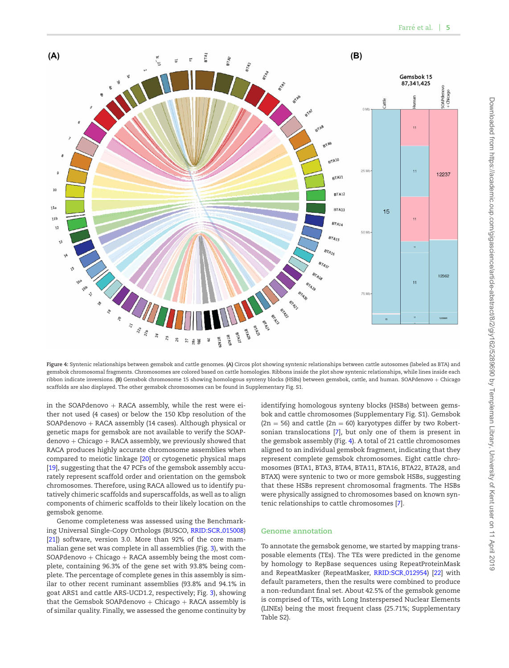<span id="page-5-0"></span>

**Figure 4:** Syntenic relationships between gemsbok and cattle genomes. **(A)** Circos plot showing syntenic relationships between cattle autosomes (labeled as BTA) and gemsbok chromosomal fragments. Chromosomes are colored based on cattle homologies. Ribbons inside the plot show syntenic relationships, while lines inside each ribbon indicate inversions. **(B)** Gemsbok chromosome 15 showing homologous synteny blocks (HSBs) between gemsbok, cattle, and human. SOAPdenovo + Chicago scaffolds are also displayed. The other gemsbok chromosomes can be found in Supplementary Fig. S1.

in the SOAPdenovo  $+$  RACA assembly, while the rest were either not used (4 cases) or below the 150 Kbp resolution of the SOAPdenovo + RACA assembly (14 cases). Although physical or genetic maps for gemsbok are not available to verify the SOAPdenovo + Chicago + RACA assembly, we previously showed that RACA produces highly accurate chromosome assemblies when compared to meiotic linkage [\[20\]](#page-6-19) or cytogenetic physical maps [\[19\]](#page-6-18), suggesting that the 47 PCFs of the gemsbok assembly accurately represent scaffold order and orientation on the gemsbok chromosomes. Therefore, using RACA allowed us to identify putatively chimeric scaffolds and superscaffolds, as well as to align components of chimeric scaffolds to their likely location on the gemsbok genome.

Genome completeness was assessed using the Benchmark-ing Universal Single-Copy Orthologs (BUSCO, [RRID:SCR](https://scicrunch.org/resolver/RRID:SCR_015008)\_015008) [\[21\]](#page-6-20)) software, version 3.0. More than 92% of the core mammalian gene set was complete in all assemblies (Fig. [3\)](#page-3-0), with the  $SOAP$ denovo + Chicago + RACA assembly being the most complete, containing 96.3% of the gene set with 93.8% being complete. The percentage of complete genes in this assembly is similar to other recent ruminant assemblies (93.8% and 94.1% in goat ARS1 and cattle ARS-UCD1.2, respectively; Fig. [3\)](#page-3-0), showing that the Gemsbok SOAPdenovo  $+$  Chicago  $+$  RACA assembly is of similar quality. Finally, we assessed the genome continuity by identifying homologous synteny blocks (HSBs) between gemsbok and cattle chromosomes (Supplementary Fig. S1). Gemsbok  $(2n = 56)$  and cattle  $(2n = 60)$  karyotypes differ by two Robertsonian translocations [\[7\]](#page-6-6), but only one of them is present in the gemsbok assembly (Fig. [4\)](#page-4-0). A total of 21 cattle chromosomes aligned to an individual gemsbok fragment, indicating that they represent complete gemsbok chromosomes. Eight cattle chromosomes (BTA1, BTA3, BTA4, BTA11, BTA16, BTA22, BTA28, and BTAX) were syntenic to two or more gemsbok HSBs, suggesting that these HSBs represent chromosomal fragments. The HSBs were physically assigned to chromosomes based on known syntenic relationships to cattle chromosomes [\[7\]](#page-6-6).

#### **Genome annotation**

To annotate the gemsbok genome, we started by mapping transposable elements (TEs). The TEs were predicted in the genome by homology to RepBase sequences using RepeatProteinMask and RepeatMasker (RepeatMasker, [RRID:SCR](https://scicrunch.org/resolver/RRID:SCR_012954) 012954) [\[22\]](#page-6-21) with default parameters, then the results were combined to produce a non-redundant final set. About 42.5% of the gemsbok genome is comprised of TEs, with Long Insterspersed Nuclear Elements (LINEs) being the most frequent class (25.71%; Supplementary Table S2).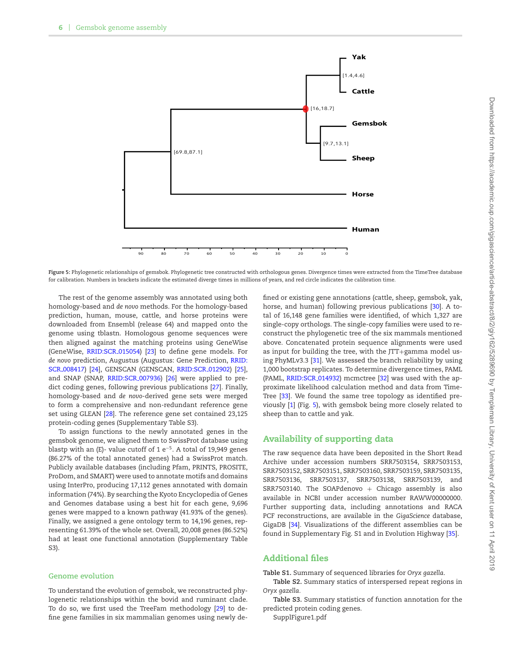<span id="page-6-12"></span><span id="page-6-11"></span><span id="page-6-10"></span>

**Figure 5:** Phylogenetic relationships of gemsbok. Phylogenetic tree constructed with orthologous genes. Divergence times were extracted from the TimeTree database for calibration. Numbers in brackets indicate the estimated diverge times in millions of years, and red circle indicates the calibration time.

The rest of the genome assembly was annotated using both homology-based and *de novo* methods. For the homology-based prediction, human, mouse, cattle, and horse proteins were downloaded from Ensembl (release 64) and mapped onto the genome using tblastn. Homologous genome sequences were then aligned against the matching proteins using GeneWise (GeneWise, [RRID:SCR](https://scicrunch.org/resolver/RRID:SCR_015054)<sub>-</sub>015054) [\[23\]](#page-6-22) to define gene models. For *de novo* [prediction, Augustus \(Augustus: Gene Prediction,](https://scicrunch.org/resolver/RRID:SCR_008417) RRID: SCR 008417) [\[24\]](#page-6-23), GENSCAN (GENSCAN, [RRID:SCR](https://scicrunch.org/resolver/RRID:SCR_012902) 012902) [\[25\]](#page-6-24), and SNAP (SNAP, [RRID:SCR](https://scicrunch.org/resolver/RRID:SCR_007936) 007936) [\[26\]](#page-6-25) were applied to predict coding genes, following previous publications [\[27\]](#page-6-26). Finally, homology-based and *de novo*-derived gene sets were merged to form a comprehensive and non-redundant reference gene set using GLEAN [\[28\]](#page-6-27). The reference gene set contained 23,125 protein-coding genes (Supplementary Table S3).

<span id="page-6-4"></span><span id="page-6-3"></span><span id="page-6-2"></span><span id="page-6-1"></span><span id="page-6-0"></span>To assign functions to the newly annotated genes in the gemsbok genome, we aligned them to SwissProt database using blastp with an (E)- value cutoff of 1 e<sup>−5</sup>. A total of 19,949 genes (86.27% of the total annotated genes) had a SwissProt match. Publicly available databases (including Pfam, PRINTS, PROSITE, ProDom, and SMART) were used to annotate motifs and domains using InterPro, producing 17,112 genes annotated with domain information (74%). By searching the Kyoto Encyclopedia of Genes and Genomes database using a best hit for each gene, 9,696 genes were mapped to a known pathway (41.93% of the genes). Finally, we assigned a gene ontology term to 14,196 genes, representing 61.39% of the whole set. Overall, 20,008 genes (86.52%) had at least one functional annotation (Supplementary Table S3).

#### <span id="page-6-7"></span><span id="page-6-6"></span><span id="page-6-5"></span>**Genome evolution**

<span id="page-6-9"></span><span id="page-6-8"></span>To understand the evolution of gemsbok, we reconstructed phylogenetic relationships within the bovid and ruminant clade. To do so, we first used the TreeFam methodology [\[29\]](#page-6-28) to deine gene families in six mammalian genomes using newly de<span id="page-6-21"></span><span id="page-6-20"></span><span id="page-6-19"></span><span id="page-6-18"></span><span id="page-6-17"></span><span id="page-6-16"></span><span id="page-6-15"></span><span id="page-6-14"></span><span id="page-6-13"></span>ined or existing gene annotations (cattle, sheep, gemsbok, yak, horse, and human) following previous publications [\[30\]](#page-6-29). A total of 16,148 gene families were identified, of which 1,327 are single-copy orthologs. The single-copy families were used to reconstruct the phylogenetic tree of the six mammals mentioned above. Concatenated protein sequence alignments were used as input for building the tree, with the JTT+gamma model using PhyMLv3.3 [\[31\]](#page-6-30). We assessed the branch reliability by using 1,000 bootstrap replicates. To determine divergence times, PAML (PAML, [RRID:SCR](https://scicrunch.org/resolver/RRID:SCR_014932)\_014932) mcmctree [\[32\]](#page-6-31) was used with the approximate likelihood calculation method and data from Time-Tree [\[33\]](#page-7-0). We found the same tree topology as identified previously [\[1\]](#page-6-0) (Fig. [5\)](#page-5-0), with gemsbok being more closely related to sheep than to cattle and yak.

#### <span id="page-6-24"></span><span id="page-6-23"></span><span id="page-6-22"></span>Availability of supporting data

<span id="page-6-27"></span><span id="page-6-26"></span><span id="page-6-25"></span>The raw sequence data have been deposited in the Short Read Archive under accession numbers SRR7503154, SRR7503153, SRR7503152, SRR7503151, SRR7503160, SRR7503159, SRR7503135, SRR7503136, SRR7503137, SRR7503138, SRR7503139, and SRR7503140. The SOAPdenovo  $+$  Chicago assembly is also available in NCBI under accession number RAWW00000000. Further supporting data, including annotations and RACA PCF reconstructions, are available in the *GigaScience* database, GigaDB [\[34\]](#page-7-1). Visualizations of the different assemblies can be found in Supplementary Fig. S1 and in Evolution Highway [\[35\]](#page-7-2).

#### <span id="page-6-29"></span><span id="page-6-28"></span>**Additional files**

<span id="page-6-30"></span>**Table S1.** Summary of sequenced libraries for *Oryx gazella*.

**Table S2.** Summary statics of interspersed repeat regions in *Oryx gazella.*

<span id="page-6-31"></span>**Table S3.** Summary statistics of function annotation for the predicted protein coding genes.

SupplFigure1.pdf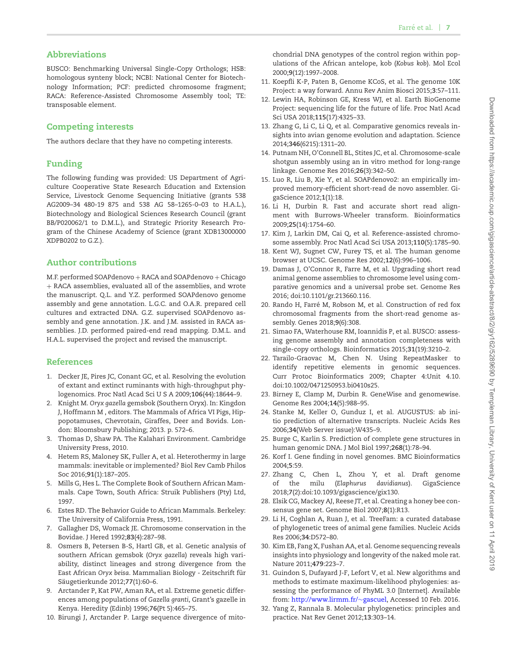### <span id="page-7-0"></span>Abbreviations

<span id="page-7-1"></span>BUSCO: Benchmarking Universal Single-Copy Orthologs; HSB: homologous synteny block; NCBI: National Center for Biotechnology Information; PCF: predicted chromosome fragment; RACA: Reference-Assisted Chromosome Assembly tool; TE: transposable element.

#### Competing interests

The authors declare that they have no competing interests.

#### Funding

The following funding was provided: US Department of Agriculture Cooperative State Research Education and Extension Service, Livestock Genome Sequencing Initiative (grants 538 AG2009–34 480-19 875 and 538 AG 58–1265-0–03 to H.A.L.), Biotechnology and Biological Sciences Research Council (grant BB/P020062/1 to D.M.L.), and Strategic Priority Research Program of the Chinese Academy of Science (grant XDB13000000 XDPB0202 to G.Z.).

#### Author contributions

M.F. performed SOAPdenovo + RACA and SOAPdenovo + Chicago + RACA assemblies, evaluated all of the assemblies, and wrote the manuscript. Q.L. and Y.Z. performed SOAPdenovo genome assembly and gene annotation. L.G.C. and O.A.R. prepared cell cultures and extracted DNA. G.Z. supervised SOAPdenovo assembly and gene annotation. J.K. and J.M. assisted in RACA assemblies. J.D. performed paired-end read mapping. D.M.L. and H.A.L. supervised the project and revised the manuscript.

#### References

- 1. Decker JE, Pires JC, Conant GC, et al. Resolving the evolution of extant and extinct ruminants with high-throughput phylogenomics. Proc Natl Acad Sci U S A 2009;**106**(44):18644–9.
- 2. Knight M. *Oryx gazella* gemsbok (Southern Oryx). In: Kingdon J, Hoffmann M , editors. The Mammals of Africa VI Pigs, Hippopotamuses, Chevrotain, Giraffes, Deer and Bovids. London: Bloomsbury Publishing; 2013. p. 572–6.
- 3. Thomas D, Shaw PA. The Kalahari Environment. Cambridge University Press, 2010.
- 4. Hetem RS, Maloney SK, Fuller A, et al. Heterothermy in large mammals: inevitable or implemented? Biol Rev Camb Philos Soc 2016;**91**(1):187–205.
- 5. Mills G, Hes L. The Complete Book of Southern African Mammals. Cape Town, South Africa: Struik Publishers (Pty) Ltd, 1997.
- 6. Estes RD. The Behavior Guide to African Mammals. Berkeley: The University of California Press, 1991.
- 7. Gallagher DS, Womack JE. Chromosome conservation in the Bovidae. J Hered 1992;**83**(4):287–98.
- 8. Osmers B, Petersen B-S, Hartl GB, et al. Genetic analysis of southern African gemsbok (*Oryx gazella*) reveals high variability, distinct lineages and strong divergence from the East African *Oryx beisa*. Mammalian Biology - Zeitschrift fur¨ Säugetierkunde 2012;77(1):60-6.
- 9. Arctander P, Kat PW, Aman RA, et al. Extreme genetic differences among populations of *Gazella granti*, Grant's gazelle in Kenya. Heredity (Edinb) 1996;**76**(Pt 5):465–75.
- 10. Birungi J, Arctander P. Large sequence divergence of mito-

chondrial DNA genotypes of the control region within populations of the African antelope, kob (*Kobus kob*). Mol Ecol 2000;**9**(12):1997–2008.

- <span id="page-7-2"></span>11. Koepli K-P, Paten B, Genome KCoS, et al. The genome 10K Project: a way forward. Annu Rev Anim Biosci 2015;**3**:57–111.
- 12. Lewin HA, Robinson GE, Kress WJ, et al. Earth BioGenome Project: sequencing life for the future of life. Proc Natl Acad Sci USA 2018;**115**(17):4325–33.
- 13. Zhang G, Li C, Li Q, et al. Comparative genomics reveals insights into avian genome evolution and adaptation. Science 2014;**346**(6215):1311–20.
- 14. Putnam NH, O'Connell BL, Stites JC, et al. Chromosome-scale shotgun assembly using an in vitro method for long-range linkage. Genome Res 2016;**26**(3):342–50.
- 15. Luo R, Liu B, Xie Y, et al. SOAPdenovo2: an empirically improved memory-eficient short-read de novo assembler. GigaScience 2012;**1**(1):18.
- 16. Li H, Durbin R. Fast and accurate short read alignment with Burrows-Wheeler transform. Bioinformatics 2009;**25**(14):1754–60.
- 17. Kim J, Larkin DM, Cai Q, et al. Reference-assisted chromosome assembly. Proc Natl Acad Sci USA 2013;**110**(5):1785–90.
- 18. Kent WJ, Sugnet CW, Furey TS, et al. The human genome browser at UCSC. Genome Res 2002;**12**(6):996–1006.
- 19. Damas J, O'Connor R, Farre M, et al. Upgrading short read animal genome assemblies to chromosome level using comparative genomics and a universal probe set. Genome Res 2016; doi:10.1101/gr.213660.116.
- 20. Rando H, Farré M, Robson M, et al. Construction of red fox chromosomal fragments from the short-read genome assembly. Genes 2018;**9**(6):308.
- 21. Simao FA, Waterhouse RM, Ioannidis P, et al. BUSCO: assessing genome assembly and annotation completeness with single-copy orthologs. Bioinformatics 2015;**31**(19):3210–2.
- 22. Tarailo-Graovac M, Chen N. Using RepeatMasker to identify repetitive elements in genomic sequences. Curr Protoc Bioinformatics 2009; Chapter 4:Unit 4.10. doi:10.1002/0471250953.bi0410s25.
- 23. Birney E, Clamp M, Durbin R. GeneWise and genomewise. Genome Res 2004;**14**(5):988–95.
- 24. Stanke M, Keller O, Gunduz I, et al. AUGUSTUS: ab initio prediction of alternative transcripts. Nucleic Acids Res 2006;**34**(Web Server issue):W435–9.
- 25. Burge C, Karlin S. Prediction of complete gene structures in human genomic DNA. J Mol Biol 1997;**268**(1):78–94.
- 26. Korf I. Gene finding in novel genomes. BMC Bioinformatics 2004;**5**:59.
- 27. Zhang C, Chen L, Zhou Y, et al. Draft genome of the milu (*Elaphurus davidianus*). GigaScience 2018;**7**(2):doi:10.1093/gigascience/gix130.
- 28. Elsik CG, Mackey AJ, Reese JT, et al. Creating a honey bee consensus gene set. Genome Biol 2007;**8**(1):R13.
- 29. Li H, Coghlan A, Ruan J, et al. TreeFam: a curated database of phylogenetic trees of animal gene families. Nucleic Acids Res 2006;**34**:D572–80.
- 30. Kim EB, Fang X, Fushan AA, et al. Genome sequencing reveals insights into physiology and longevity of the naked mole rat. Nature 2011;**479**:223–7.
- 31. Guindon S, Dufayard J-F, Lefort V, et al. New algorithms and methods to estimate maximum-likelihood phylogenies: assessing the performance of PhyML 3.0 [Internet]. Available from: [http://www.lirmm.fr/](http://www.lirmm.fr/\protect $\relax \sim $gascuel)∼gascuel, Accessed 10 Feb. 2016.
- 32. Yang Z, Rannala B. Molecular phylogenetics: principles and practice. Nat Rev Genet 2012;**13**:303–14.